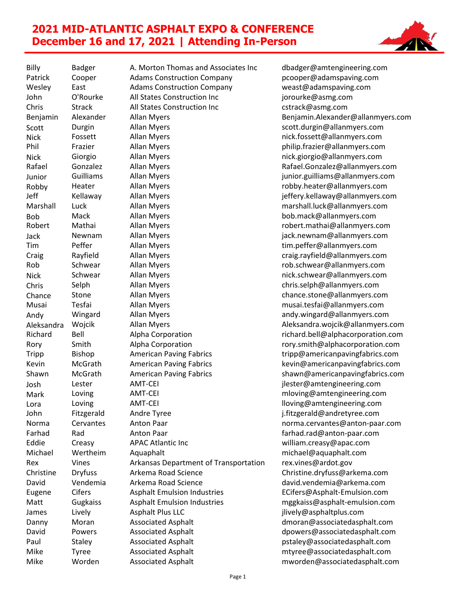## **2021 MID-ATLANTIC ASPHALT EXPO & CONFERENCE December 16 and 17, 2021 | Attending In-Person**



Billy Badger A. Morton Thomas and Associates Inc dbadger@amtengineering.com Patrick Cooper Adams Construction Company pcooper@adamspaving.com Wesley East Adams Construction Company weast@adamspaving.com John **O'Rourke** All States Construction Inc incomponent assessme.com Chris Strack All States Construction Inc cstrack@asmg.com Benjamin Alexander Allan Myers Benjamin.Alexander@allanmyers.com Scott Durgin Allan Myers scott.durgin@allanmyers.com Nick Fossett Allan Myers nick.fossett@allanmyers.com Phil Frazier Allan Myers philip.frazier@allanmyers.com Nick Giorgio Allan Myers nick.giorgio@allanmyers.com Rafael Gonzalez Allan Myers Rafael.Gonzalez@allanmyers.com Junior Guilliams Allan Myers (Junior.guilliams@allanmyers.com<br>Robby Heater Allan Myers (Guildiam Ann and Theater@allanmyers.com Robby Heater Allan Myers robby.heater@allanmyers.com Jeff Kellaway Allan Myers is the settlem and the Kellaway Muslim Kellaway Allan Myers Marshall Luck Allan Myers marshall.luck@allanmyers.com Bob Mack Allan Myers bob.mack@allanmyers.com Robert Mathai Allan Myers robert.mathai@allanmyers.com Jack Newnam Allan Myers jack.newnam@allanmyers.com Tim Peffer Allan Myers tim.peffer@allanmyers.com Craig Rayfield Allan Myers craig.rayfield@allanmyers.com Rob Schwear Allan Myers rob.schwear@allanmyers.com Nick Schwear Allan Myers nick.schwear@allanmyers.com Chris Selph Allan Myers chris.selph@allanmyers.com Chance Stone Allan Myers chance.stone@allanmyers.com Musai Tesfai Allan Myers musai.tesfai@allanmyers.com Andy Wingard Allan Myers andy.wingard@allanmyers.com Aleksandra Wojcik Allan Myers Aleksandra.wojcik@allanmyers.com Richard Bell Alpha Corporation richard.bell@alphacorporation.com Rory Smith Alpha Corporation **Roles Communist Communist Communist Communist Communist Communist Communist Communist Communist Communist Communist Communist Communist Communist Communist Communist Communist Communist Commun** Tripp Bishop American Paving Fabrics tripp@americanpavingfabrics.com Kevin McGrath American Paving Fabrics **Kevin@americanpavingfabrics.com** Shawn McGrath American Paving Fabrics shawn@americanpavingfabrics.com Josh Lester AMT-CEI jlester@amtengineering.com Mark Loving AMT-CEI mithdaw and mloving@amtengineering.com Lora Loving AMT-CEI lists and a lloving@amtengineering.com John Fitzgerald Andre Tyree j.fitzgerald@andretyree.com Norma Cervantes Anton Paar norma.cervantes@anton-paar.com Farhad Rad Anton Paar farhad.rad@anton-paar.com Eddie Creasy APAC Atlantic Inc william.creasy@apac.com Michael Wertheim Aquaphalt michael@aquaphalt.com Rex Vines Arkansas Department of Transportation rex.vines@ardot.gov Christine Dryfuss Arkema Road Science Christine.dryfuss@arkema.com David Vendemia Arkema Road Science david.vendemia@arkema.com Eugene Cifers Asphalt Emulsion Industries ECifers@Asphalt-Emulsion.com Matt Gugkaiss Asphalt Emulsion Industries mggkaiss@asphalt-emulsion.com James Lively Asphalt Plus LLC in the lively@asphaltplus.com Danny Moran Associated Asphalt demonstrational dmoran@associatedasphalt.com David Powers Associated Asphalt dpowers@associatedasphalt.com Paul Staley Associated Asphalt **Associated Asphalt** pstaley@associatedasphalt.com Mike Tyree Associated Asphalt mtyree@associatedasphalt.com Mike Worden Associated Asphalt mworden@associatedasphalt.com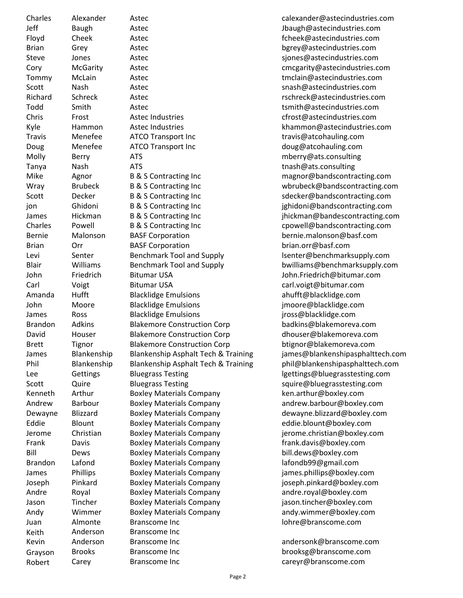| Charles        | Alexander      |
|----------------|----------------|
| Jeff           | Baugh          |
| Floyd          | Cheek          |
| Brian          | Grey           |
| Steve          | Jones          |
| Cory           | McGarity       |
| Tommy          | McLain         |
| Scott          | Nash           |
| Richard        | Schreck        |
| Todd           | Smith          |
| Chris          | Frost          |
| Kyle           | Hammon         |
| <b>Travis</b>  | Menefee        |
| Doug           | Menefee        |
|                |                |
| Molly          | Berry          |
| Tanya          | Nash           |
| Mike           | Agnor          |
| Wray           | <b>Brubeck</b> |
| Scott          | Decker         |
| jon            | Ghidoni        |
| James          | Hickman        |
| Charles        | Powell         |
| <b>Bernie</b>  | Malonson       |
| Brian          | Orr            |
| Levi           | Senter         |
| <b>Blair</b>   | Williams       |
| John           | Friedrich      |
| Carl           | Voigt          |
| Amanda         | Hufft          |
| John           | Moore          |
| James          | Ross           |
| <b>Brandon</b> | <b>Adkins</b>  |
| David          | Houser         |
| <b>Brett</b>   | Tignor         |
| James          | Blankenship    |
| Phil           |                |
|                | Blankenship    |
| Lee            | Gettings       |
| Scott          | Quire          |
| Kenneth        | Arthur         |
| Andrew         | Barbour        |
| Dewayne        | Blizzard       |
| Eddie          | Blount         |
| Jerome         | Christian      |
| Frank          | Davis          |
| Bill           | Dews           |
| Brandon        | Lafond         |
| James          | Phillips       |
| Joseph         | Pinkard        |
| Andre          | Royal          |
| Jason          | Tincher        |
| Andy           | Wimmer         |
| Juan           | Almonte        |
| Keith          | Anderson       |
| Kevin          | Anderson       |
| Grayson        | Brooks         |
| Robert         | Carev          |
|                |                |

Astec **Astec Astec Astec Astec Astecindustries.com** Astec **Floward Cheek**  $\omega$  astecindustries.com Astec **Britan Grey Astec as a Green Construction** by by based by a based of the set of the base of the base of th Astec and the Steve Jones Astecindustries.com Astec **Cory McGarity Astec corpusation** corresponding to the corresponding to the corresponding to the corresponding to the corresponding to the corresponding to the corresponding to the corresponding to the corresponding Astec **The Community McClain Astec tmclain@astecindustries.com** Astec and the snash  $@$  astecindustries.com Astec **Richard Schreek Astec rschreck@astecindustries.com** Astec **The Smith Astec tsmith@astecindustries.com** Astec Industries and according to the Christ Astec Industries.com ATCO Transport Inc travis@atcohauling.com ATCO Transport Inc and the mental doug@atcohauling.com ATS and the consulting method of the molecular method of the molecular method of the molecular method of the m ATS tnash@ats.consulting BASF Corporation bernie malonson@basf.com BASF Corporation brian.orr@basf.com Benchmark Tool and Supply lsenter@benchmarksupply.com John Friedrich Bitumar USA John.Friedrich@bitumar.com Bitumar USA carl.voigt@bitumar.com Amanda Hufft Blacklidge Emulsions ahufft@blacklidge.com Blacklidge Emulsions imoore@blacklidge.com Blacklidge Emulsions iross@blacklidge.com Blakemore Construction Corp badkins@blakemoreva.com Blakemore Construction Corp dhouser@blakemoreva.com Blakemore Construction Corp btignor@blakemoreva.com Bluegrass Testing and the Gettings@bluegrasstesting.com Bluegrass Testing squire@bluegrasstesting.com Boxley Materials Company ken.arthur@boxley.com Boxley Materials Company andrew.barbour@boxley.com Boxley Materials Company dewayne.blizzard@boxley.com Boxley Materials Company eddie.blount@boxley.com Boxley Materials Company ierome.christian@boxley.com Boxley Materials Company frank.davis@boxley.com Boxley Materials Company bill.dews@boxley.com Boxley Materials Company lafondb99@gmail.com Boxley Materials Company iames.phillips@boxley.com Boxley Materials Company intersection provides a loseph.pinkard@boxley.com Boxley Materials Company andre.royal@boxley.com Boxley Materials Company iason.tincher@boxley.com Andy Wimmer Boxley Materials Company andy.wimmer@boxley.com Branscome Inc **Branscome** Inc **and Almonte Branscome.com** Branscome Inc Branscome Inc andersonk@branscome.com Branscome Inc brooksg@branscome.com

Astec **Astec** calexander@astecindustries.com Astec Industries extending the Hammon Controller extending to the Hammon Controller extending to the Hammon Controller extending to the Hammon Controller extending to the Hammon Controller extending to the Hammon Controlle B & S Contracting Inc magnor @bandscontracting.com B & S Contracting Inc **B** & S Contracting Inc wbrubeck@bandscontracting.com B & S Contracting Inc Secret B & S Contracting Inc state of the sdecker@bandscontracting.com B & S Contracting Inc increase ighidoni@bandscontracting.com B & S Contracting Inc income income income income income income income income income income in the second second second in  $\mathbb{R}$ B & S Contracting Inc Charles Contracting Inc cpowell@bandscontracting.com Benchmark Tool and Supply bwilliams@benchmarksupply.com Blankenship Asphalt Tech & Training james@blankenshipasphalttech.com Phil Blankenship Blankenship Asphalt Tech & Training phil@blankenshipasphalttech.com

obert Carey Branscome Inc careyr@branscome.com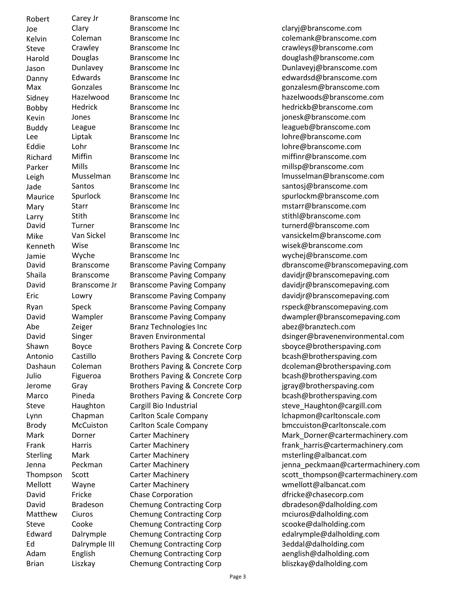| Robert          | Carey Jr           |
|-----------------|--------------------|
| Joe             | Clary              |
| Kelvin          | Colemar            |
| Steve           | Crawley            |
| Harold          | Douglas            |
|                 | Dunlave            |
| Jason           | Edward:            |
| Danny           |                    |
| Max             | Gonzale            |
| Sidney          | Hazelwo            |
| Bobby           | Hedrick            |
| Kevin           | Jones              |
| <b>Buddy</b>    | League             |
| Lee             | Liptak             |
| Eddie           | Lohr               |
| Richard         | Miffin             |
| Parker          | Mills              |
| Leigh           | Musselr            |
| Jade            | Santos             |
| Maurice         | Spurlocl           |
| Mary            | <b>Starr</b>       |
|                 | Stith              |
| Larry<br>David  | Turner             |
|                 | Van Sick           |
| Mike            |                    |
| Kenneth         | Wise               |
| Jamie           | Wyche              |
| David           | <b>Bransco</b>     |
| Shaila          | <b>Bransco</b>     |
| David           | <b>Bransco</b>     |
| Eric            | Lowry              |
| Ryan            | Speck              |
| David           | Wample             |
| Abe             | Zeiger             |
| David           | Singer             |
| Shawn           | Boyce              |
| Antonio         | Castillo           |
|                 |                    |
| Dashaun         | Colemar            |
| Julio           | Figueroa           |
| Jerome          | Gray               |
| Marco           | Pineda             |
| <b>Steve</b>    | Haughto            |
| Lynn            | Chapma             |
| <b>Brody</b>    | McCuist            |
| Mark            | Dorner             |
| Frank           |                    |
|                 | Harris             |
| <b>Sterling</b> | Mark               |
| Jenna           | Peckma             |
|                 |                    |
| Thompson        | Scott              |
| Mellott         | Wayne              |
| David           | Fricke             |
| David           | <b>Bradeso</b>     |
| Matthew         | Ciuros             |
| <b>Steve</b>    | Cooke              |
| Edward          | Dalrymp            |
| Ed<br>Adam      | Dalrymp<br>English |

Branscome Inc. Branscome Inc **Branscome** Inc claryj@branscome.com n and Branscome Inc coleman Report of the Coleman Branscome.com Branscome Inc crawleys@branscome.com Branscome Inc douglash@branscome.com y Branscome Inc Dunlaveyj@branscome.com s Branscome Inc edwardsd@branscome.com s Branscome Inc gonzales Branscome.com ood Branscome Inc hazelwoods@branscome.com Branscome Inc hedrickb@branscome.com Branscome Inc increases and increases are increased by ionesk@branscome.com Branscome Inc **Example 2018** leagueb@branscome.com Branscome Inc **Branscome** Inc lohre@branscome.com Eddie Lohr Branscome Inc lohre@branscome.com Branscome Inc miffin Branscome.com **Branscome Inc** mills branscome.com nan Branscome Inc **Musselman** Branscome Inc lmusselman @branscome.com Branscome Inc santosj@branscome.com k Branscome Inc spurlockm@branscome.com Branscome Inc metals are much more increased by matter and matter and matter and more increased by metals and m Branscome Inc stithl@branscome.com Branscome Inc turnerd@branscome.com el Branscome Inc van Sickelm@branscome.com Branscome Inc **Branscome** Inc wisek@branscome.com Branscome Inc **Branscome** Inc wychej@branscome.com me Branscome Paving Company **Example 20** davidjr@branscomepaving.com me Jr Branscome Paving Company davidjr@branscomepaving.com Branscome Paving Company davidir@branscomepaving.com Branscome Paving Company rspeck@branscomepaving.com Branz Technologies Inc abez@branztech.com Brothers Paving & Concrete Corp sboyce@brotherspaving.com Antonio Castillo Brothers Paving & Concrete Corp bcash@brotherspaving.com n associates Brothers Paving & Concrete Corp dcoleman @brotherspaving.com a Tulio Brothers Paving & Concrete Corp bcash@brotherspaving.com Brothers Paving & Concrete Corp jgray@brotherspaving.com Brothers Paving & Concrete Corp bcash@brotherspaving.com on Cargill Bio Industrial steve\_Haughton@cargill.com In Carlton Scale Company **Lynn** Carlton Scale Company **Lehapmon** Carlton Scale Company Brody McCuiston Carlton Scale Company bmccuiston@carltonscale.com Carter Machinery meterling@albancat.com Carter Machinery **Example 20** and the Wayne Weilder Wayne Carter Machinery Chase Corporation dfricke@chasecorp.com n Chemung Contracting Corp **dbradeson@dalholding.com** Chemung Contracting Corp mciuros@dalholding.com Chemung Contracting Corp scooke@dalholding.com Edward Dalrymple Chemung Contracting Corp edalrymple@dalholding.com ole III Chemung Contracting Corp 3eddal@dalholding.com Chemung Contracting Corp aenglish@dalholding.com

me Branscome Paving Company dbranscome@branscomepaving.com er Branscome Paving Company by a dwampler@branscomepaving.com Braven Environmental designer and designer abravemental designer and the Braven Environmental.com Carter Machinery **Mark Dorner@cartermachinery.com** Carter Machinery **Frank Harris @cartermachinery.com** n Jenna Carter Machinery and Carter machinery is entitled by the peckmaan@cartermachinery.com The Carter Machinery scott thompson@cartermachinery.com Brian Liszkay Chemung Contracting Corp bliszkay@dalholding.com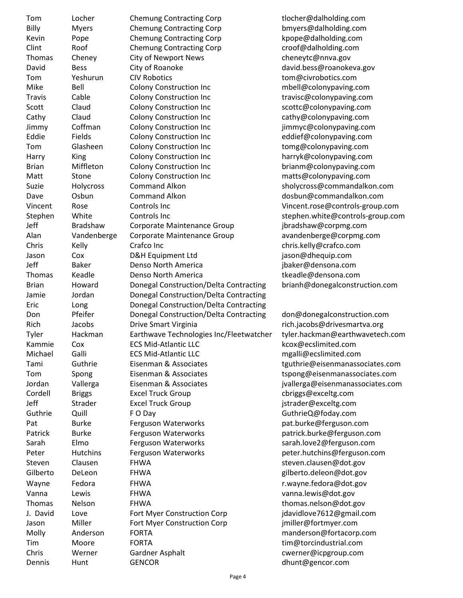Tom Locher Chemung Contracting Corp tlocher@dalholding.com Billy Myers Chemung Contracting Corp bmyers@dalholding.com Kevin Pope Chemung Contracting Corp kpope@dalholding.com Clint Roof Chemung Contracting Corp croof@dalholding.com Thomas Cheney City of Newport News cheneytc@nnva.gov David Bess City of Roanoke david.bess@roanokeva.gov Tom Yeshurun CIV Robotics tom@civrobotics.com Mike Bell Colony Construction Inc mbell@colonypaving.com Travis Cable Colony Construction Inc travisc@colonypaving.com Scott Claud Colony Construction Inc scottc@colonypaving.com Cathy Claud Colony Construction Inc cathy@colonypaving.com Jimmy Coffman Colony Construction Inc jimmyc@colonypaving.com Eddie Fields Colony Construction Inc eddief@colonypaving.com Tom Glasheen Colony Construction Inc tomg@colonypaving.com Harry King Colony Construction Inc harryk@colonypaving.com Brian Miffleton Colony Construction Inc brianm@colonypaving.com Matt Stone Colony Construction Inc matts@colonypaving.com Suzie Holycross Command Alkon sholycross@commandalkon.com Dave Osbun Command Alkon dosbun@commandalkon.com Vincent Rose Controls Inc Vincent.rose@controls-group.com Stephen White Controls Inc stephen.white@controls-group.com Jeff Bradshaw Corporate Maintenance Group jbradshaw@corpmg.com Alan Vandenberge Corporate Maintenance Group avandenberge@corpmg.com Chris Kelly Crafco Inc chris.kelly@crafco.com Jason Cox D&H Equipment Ltd jason@dhequip.com Jeff Baker Denso North America jbaker@densona.com Thomas Keadle **The Denso North America** the extractional endeavors are the theories of the Densona.com Brian Howard Donegal Construction/Delta Contracting brianh@donegalconstruction.com Jamie Jordan Donegal Construction/Delta Contracting Eric Long Donegal Construction/Delta Contracting Don Pfeifer Donegal Construction/Delta Contracting don@donegalconstruction.com Rich Jacobs Drive Smart Virginia and the rich.jacobs@drivesmartva.org Tyler Hackman Earthwave Technologies Inc/Fleetwatcher tyler.hackman@earthwavetech.com Kammie Cox ECS Mid-Atlantic LLC kcox@ecslimited.com Michael Galli ECS Mid-Atlantic LLC mgalli@ecslimited.com Tami Guthrie Eisenman & Associates tguthrie@eisenmanassociates.com Tom Spong Eisenman & Associates tspong@eisenmanassociates.com Jordan Vallerga Eisenman & Associates jvallerga@eisenmanassociates.com Cordell Briggs Excel Truck Group cbriggs@exceltg.com Jeff Strader Excel Truck Group jstrader@exceltg.com Guthrie Quill F O Day GuthrieQ@foday.com Pat Burke Ferguson Waterworks but be pat.burke@ferguson.com Patrick Burke Ferguson Waterworks patrick.burke@ferguson.com Sarah Elmo Ferguson Waterworks sarah.love2@ferguson.com Peter Hutchins Ferguson Waterworks peter.hutchins@ferguson.com Steven Clausen FHWA steven.clausen@dot.gov Gilberto DeLeon FHWA and FHWA gilberto.deleon@dot.gov Wayne Fedora FHWA r.wayne.fedora@dot.gov Vanna Lewis FHWA vanna.lewis@dot.gov Thomas Nelson FHWA thomas.nelson@dot.gov J. David Love Fort Myer Construction Corp jdavidlove7612@gmail.com Jason Miller Fort Myer Construction Corp imiller@fortmyer.com Molly Anderson FORTA manderson@fortacorp.com Tim Moore FORTA tim@torcindustrial.com Chris Werner Gardner Asphalt cwerner@icpgroup.com Dennis Hunt GENCOR dhunt@gencor.com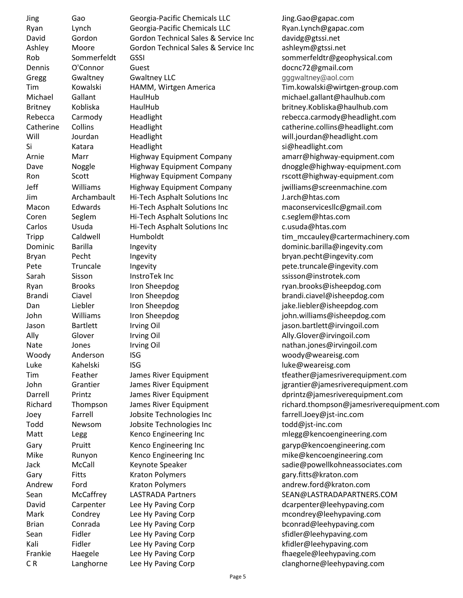Jing Gao Georgia-Pacific Chemicals LLC Jing.Gao@gapac.com Ryan Lynch Georgia-Pacific Chemicals LLC Ryan.Lynch@gapac.com David Gordon Gordon Technical Sales & Service Inc davidg@gtssi.net Ashley Moore Gordon Technical Sales & Service Inc ashleym@gtssi.net Dennis O'Connor Guest docnc72@gmail.com Gregg Gwaltney Gwaltney LLC Gregg gggwaltney@aol.com Michael Gallant HaulHub michael.gallant@haulhub.com Britney Kobliska HaulHub britney.Kobliska@haulhub.com Will Jourdan Headlight will.jourdan@headlight.com Si Katara Headlight si@headlight.com Jeff Williams Highway Equipment Company jwilliams@screenmachine.com Jim Archambault Hi-Tech Asphalt Solutions Inc J.arch@htas.com Macon Edwards Hi-Tech Asphalt Solutions Inc maconservicesllc@gmail.com Coren Seglem Hi-Tech Asphalt Solutions Inc c.seglem@htas.com Carlos Usuda Hi-Tech Asphalt Solutions Inc c.usuda@htas.com Dominic Barilla Ingevity Ingevity and the Barilla Chinese Research of the Barilla Chinese Barilla Gingevity.com Bryan Pecht Ingevity bryan.pecht@ingevity.com Pete Truncale Ingevity **Pete.truncale@ingevity.com** Sarah Sisson InstroTek Inc states and the ssisson@instrotek.com Ryan Brooks Iron Sheepdog ryan.brooks@isheepdog.com Brandi Ciavel Iron Sheepdog brandi.ciavel@isheepdog.com Dan Liebler Iron Sheepdog jake.liebler@isheepdog.com John Williams Iron Sheepdog john.williams@isheepdog.com Jason Bartlett Irving Oil jason.bartlett@irvingoil.com Ally Glover Irving Oil **Ally.Glover@irvingoil.com** Nate Jones Irving Oil nathan.jones@irvingoil.com Woody Anderson ISG woody@weareisg.com Luke Kahelski ISG **in the University Contract Contract Contract** Luke Muke @weareisg.com Joey Farrell Jobsite Technologies Inc farrell.Joey@jst-inc.com Todd Newsom Jobsite Technologies Inc todd@jst-inc.com Matt Legg Kenco Engineering Inc metal megg@kencoengineering.com Gary Pruitt Kenco Engineering Inc and garyp@kencoengineering.com Mike Runyon Kenco Engineering Inc mike@kencoengineering.com Gary Fitts Kraton Polymers and the same gary.fitts@kraton.com Andrew Ford Kraton Polymers andrew.ford@kraton.com David Carpenter Lee Hy Paving Corp **Easing Communist Carpenter** @leehypaving.com Mark Condrey Lee Hy Paving Corp mcondrey@leehypaving.com Brian Conrada Lee Hy Paving Corp **becommany** bconrad@leehypaving.com Sean Fidler Lee Hy Paving Corp **Solution Stidler@leehypaving.com** Kali Fidler Lee Hy Paving Corp **Eine Communist Communist Communist Communist Communist Communist Communist Communist Communist Communist Communist Communist Communist Communist Communist Communist Communist Communist Commu** Frankie Haegele Lee Hy Paving Corp **Example 20 Frankie** Haegele@leehypaving.com

Rob Sommerfeldt GSSI sommerfeldtr@geophysical.com Tim Kowalski HAMM, Wirtgen America Tim.kowalski@wirtgen-group.com Rebecca Carmody Headlight rebecca.carmody@headlight.com Catherine Collins Headlight catherine.collins@headlight.com Arnie Marr Highway Equipment Company amarr@highway-equipment.com Dave Noggle Highway Equipment Company dnoggle@highway-equipment.com Ron Scott Highway Equipment Company rscott@highway-equipment.com Tripp Caldwell Humboldt tim mccauley@cartermachinery.com Tim Feather James River Equipment tfeather@jamesriverequipment.com John Grantier James River Equipment jgrantier@jamesriverequipment.com Darrell Printz James River Equipment dprintz@jamesriverequipment.com Richard Thompson James River Equipment richard.thompson@jamesriverequipment.com Jack McCall Keynote Speaker sadie@powellkohneassociates.com Sean McCaffrey LASTRADA Partners SEAN@LASTRADAPARTNERS.COM CR Langhorne Lee Hy Paving Corp Communication Clanghorne@leehypaving.com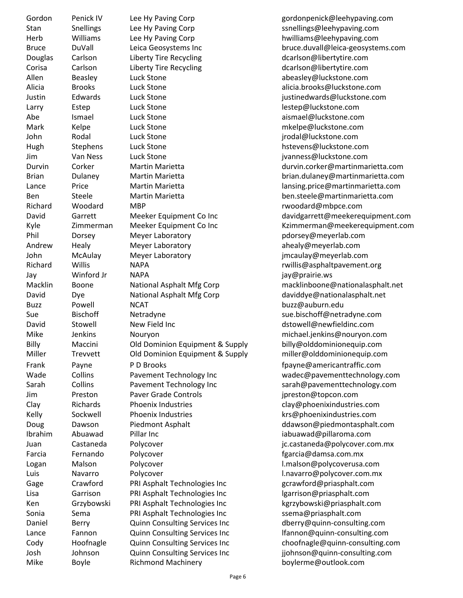Gordon Penick IV Lee Hy Paving Corp entitled and providence and produce produce providence of the entitle entit Stan Snellings Lee Hy Paving Corp Shah Stan Snellings@leehypaving.com Herb Williams Lee Hy Paving Corp hwilliams@leehypaving.com Douglas Carlson Liberty Tire Recycling Laterage dcarlson@libertytire.com Corisa Carlson Liberty Tire Recycling Letter Muslim dcarlson@libertytire.com Allen Beasley Luck Stone abeasley@luckstone.com Alicia Brooks Luck Stone alicia.brooks@luckstone.com Justin Edwards Luck Stone justinedwards@luckstone.com Larry Estep Luck Stone lestep@luckstone.com Abe Ismael Luck Stone aismael@luckstone.com Mark Kelpe Luck Stone mkelpe@luckstone.com John Rodal Luck Stone jrodal@luckstone.com Hugh Stephens Luck Stone https://www.marchive.com/hstevens@luckstone.com Jim Van Ness Luck Stone jvanness@luckstone.com Ben Steele Martin Marietta ben.steele@martinmarietta.com Richard Woodard MBP research MBP rwoodard@mbpce.com Phil Dorsey Meyer Laboratory pdorsey@meyerlab.com Andrew Healy Meyer Laboratory and the ahealy@meyerlab.com John McAulay Meyer Laboratory jmcaulay@meyerlab.com Richard Willis NAPA **rwillis@asphaltpavement.org** Jay Winford Jr NAPA jay@prairie.ws David Dye National Asphalt Mfg Corp daviddye@nationalasphalt.net Buzz Powell NCAT buzz@auburn.edu Sue Bischoff Netradyne sue.bischoff@netradyne.com David Stowell New Field Inc Contract Controlled Associates and Mercury Associates and David Mercury Associates Mike Jenkins Nouryon michael.jenkins@nouryon.com Billy Maccini Old Dominion Equipment & Supply billy@olddominionequip.com Miller Trevvett Old Dominion Equipment & Supply miller@olddominionequip.com Frank Payne P D Brooks **Frank** P 2001 For P D Brooks **f**payne@americantraffic.com Jim Preston Paver Grade Controls jpreston@topcon.com Clay Richards Phoenix Industries compared results and providence relationship clay@phoenixindustries.com Kelly Sockwell Phoenix Industries **Reading Sockwell** Phoenix Industries **krimings** krs@phoenixindustries.com Doug Dawson Piedmont Asphalt Doug ddawson@piedmontasphalt.com Ibrahim Abuawad Pillar Inc iabuawad@pillaroma.com Juan Castaneda Polycover jc.castaneda@polycover.com.mx Farcia Fernando Polycover fgarcia@damsa.com.mx Logan Malson Polycover l.malson@polycoverusa.com Luis Navarro Polycover l.navarro@polycover.com.mx Gage Crawford PRI Asphalt Technologies Inc metal gerawford@priasphalt.com Lisa Garrison PRI Asphalt Technologies Inc lgarrison@priasphalt.com Ken Grzybowski PRI Asphalt Technologies Inc kgrzybowski@priasphalt.com Sonia Sema PRI Asphalt Technologies Inc ssema@priasphalt.com Daniel Berry Quinn Consulting Services Inc dberry@quinn-consulting.com Lance Fannon Quinn Consulting Services Inc lfannon@quinn-consulting.com Josh Johnson Quinn Consulting Services Inc jjohnson@quinn-consulting.com

Bruce DuVall Leica Geosystems Inc bruce.duvall@leica-geosystems.com Durvin Corker Martin Marietta durvin.corker@martinmarietta.com Brian Dulaney Martin Marietta brian.dulaney@martinmarietta.com Lance Price Martin Marietta and Marietta lansing.price@martinmarietta.com David Garrett Meeker Equipment Co Inc davidgarrett@meekerequipment.com Kyle Zimmerman Meeker Equipment Co Inc Kzimmerman@meekerequipment.com Macklin Boone National Asphalt Mfg Corp macklinboone@nationalasphalt.net Wade Collins Pavement Technology Inc wadec@pavementtechnology.com Sarah Collins Pavement Technology Inc sarah@pavementtechnology.com Cody Hoofnagle Quinn Consulting Services Inc choofnagle@quinn-consulting.com Mike Boyle Richmond Machinery boylerme@outlook.com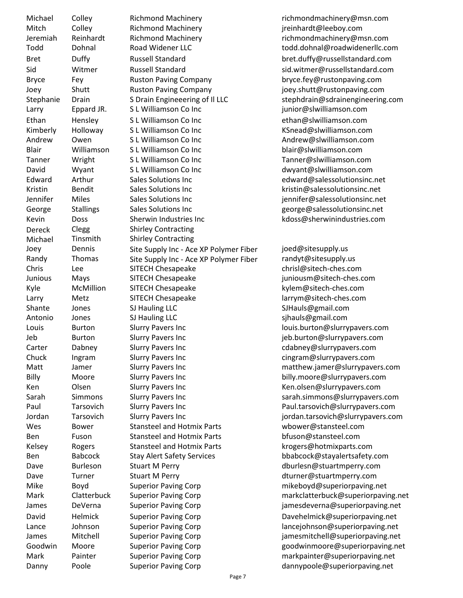Michael Colley Richmond Machinery richmondmachinery@msn.com Mitch Colley Richmond Machinery and the preinhardt@leeboy.com Jeremiah Reinhardt Richmond Machinery richmondmachinery@msn.com Bret Duffy Russell Standard bret.duffy@russellstandard.com Bryce Fey Ruston Paving Company bryce.fey@rustonpaving.com Joey Shutt Ruston Paving Company joey.shutt@rustonpaving.com Larry Eppard JR. S L Williamson Co Inc internal term is given by the series of the series of the series of the Ethan Hensley S L Williamson Co Inc Contract Mathematic ethan@slwilliamson.com Kimberly Holloway S L Williamson Co Inc **KSnead@slwilliamson.com** Andrew Owen S L Williamson Co Inc Contract More Andrew@slwilliamson.com Blair Williamson S L Williamson Co Inc blair@slwilliamson.com Tanner Wright S L Williamson Co Inc Tanner@slwilliamson.com David Wyant S L Williamson Co Inc dwyant@slwilliamson.com Edward Arthur Sales Solutions Inc edward@salessolutionsinc.net Kristin Bendit Sales Solutions Inc Subsetted Serversian Serversion School (Kristin@salessolutionsinc.net Jennifer Miles Sales Solutions Inc jennifer@salessolutionsinc.net George Stallings Sales Solutions Inc Secrets Secrets Statistics.net Kevin Doss Sherwin Industries Inc Show Revision Revision Consumers included to the Doss Com Dereck Clegg Shirley Contracting<br>
Michael Tinsmith Shirley Contracting Michael Tinsmith Shirley Contracting Joey Dennis Site Supply Inc - Ace XP Polymer Fiber joed@sitesupply.us<br>Randy Thomas Site Supply Inc - Ace XP Polymer Fiber randyt@sitesupply. Randy Thomas Site Supply Inc - Ace XP Polymer Fiber randyt@sitesupply.us Chris Lee SITECH Chesapeake chrisl@sitech-ches.com Junious Mays SITECH Chesapeake juniousm@sitech-ches.com Kyle McMillion SITECH Chesapeake kylem@sitech-ches.com Larry Metz SITECH Chesapeake larrym@sitech-ches.com Shante Jones SJ Hauling LLC SJ Hauls@gmail.com Antonio Jones SJ Hauling LLC sinauls@gmail.com Louis Burton Slurry Pavers Inc louis.burton@slurrypavers.com Jeb Burton Slurry Pavers Inc jeb.burton@slurrypavers.com Carter Dabney Slurry Pavers Inc Carter Cabney@slurrypavers.com Chuck Ingram Slurry Pavers Inc cingram@slurrypavers.com Billy Moore Slurry Pavers Inc billy.moore@slurrypavers.com Ken Clsen Slurry Pavers Inc Clear Schware Ren.olsen@slurrypavers.com Jordan Tarsovich Slurry Pavers Inc jordan.tarsovich@slurrypavers.com Wes Bower Stansteel and Hotmix Parts wbower@stansteel.com Ben Fuson Stansteel and Hotmix Parts bfuson@stansteel.com Kelsey Rogers Stansteel and Hotmix Parts krogers@hotmixparts.com Ben Babcock Stay Alert Safety Services bbabcock@stayalertsafety.com Dave Burleson Stuart M Perry **Example 20 and Stuart M Perry** dburlesn@stuartmperry.com Dave Turner Stuart M Perry dturner@stuartmperry.com Mike Boyd Superior Paving Corp mikeboyd@superiorpaving.net Mark Painter Superior Paving Corp markpainter@superiorpaving.net

Todd Dohnal Road Widener LLC todd.dohnal@roadwidenerllc.com Sid Witmer Russell Standard sid.witmer@russellstandard.com Stephanie Drain Sprain Engineeering of Il LLC stephdrain@sdrainengineering.com Matt Jamer Slurry Pavers Inc matthew.jamer@slurrypavers.com Sarah Simmons Slurry Pavers Inc sarah.simmons@slurrypavers.com Paul Tarsovich Slurry Pavers Inc Paul.tarsovich@slurrypavers.com

Mark Clatterbuck Superior Paving Corp markclatterbuck@superiorpaving.net James DeVerna Superior Paving Corp jamesdeverna@superiorpaving.net David Helmick Superior Paving Corp **Davehelmick@superiorpaving.net** Lance Johnson Superior Paving Corp lancejohnson@superiorpaving.net James Mitchell Superior Paving Corp jamesmitchell@superiorpaving.net Goodwin Moore Superior Paving Corp Superior Paving Corp and Superior education of the Superior Superior Superior Danny Poole Superior Paving Corp dannypoole@superiorpaving.net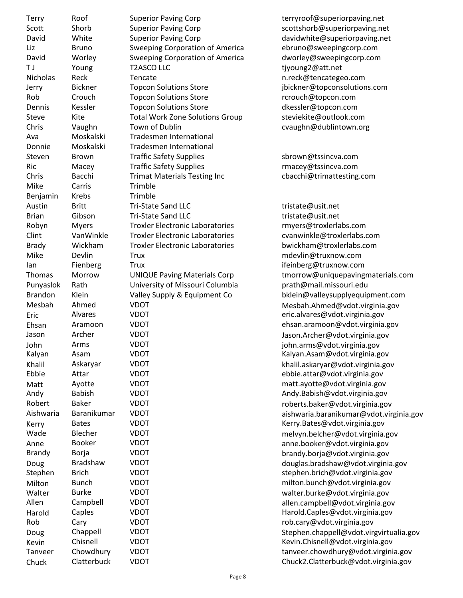| Terry                | Roof                |
|----------------------|---------------------|
| Scott                | Shorb               |
| David                | White               |
| Liz                  | Bruno               |
| David                | Worley              |
| T J                  | Young               |
| Nicholas             | Reck                |
| Jerry                | <b>Bickner</b>      |
| Rob                  | Crouch              |
| Dennis               | Kessler             |
| Steve                | Kite                |
| Chris                | Vaughn              |
| Ava                  | Moskalski           |
| Donnie               | Moskalski           |
| Steven               | Brown               |
| Ric                  | Macey               |
| Chris                | Bacchi              |
| Mike                 | Carris              |
| Benjamin             | Krebs               |
| Austin               | Britt               |
| Brian                | Gibson              |
|                      |                     |
| Robyn<br>Clint       | Myers<br>Van Winkle |
|                      | Wickham             |
| <b>Brady</b><br>Mike | Devlin              |
|                      |                     |
| lan                  | Fienberg            |
| <b>Thomas</b>        | Morrow              |
| Punyaslok            | Rath                |
| <b>Brandon</b>       | Klein               |
| Mesbah               | Ahmed               |
| Eric                 | Alvares             |
| Ehsan                | Aramoon             |
| Jason                | Archer              |
| John                 | Arms                |
| Kalyan               | Asam                |
| Khalil               | Askaryar            |
| Ebbie                | Attar               |
| Matt                 | Ayotte              |
| Andy                 | Babish              |
| Robert               | <b>Baker</b>        |
| Aishwaria            | Baranikumar         |
| Kerry                | <b>Bates</b>        |
| Wade                 | Blecher             |
| Anne                 | Booker              |
| Brandy               | Borja               |
| Doug                 | <b>Bradshaw</b>     |
| Stephen              | <b>Brich</b>        |
| Milton               | Bunch               |
| Walter               | Burke               |
| Allen                | Campbell            |
| Harold               | Caples              |
| Rob                  | Cary                |
| Doug                 | Chappell            |
| Kevin                | Chisnell            |
| Tanveer              | Chowdhury           |

Superior Paving Corp terryroof@superiorpaving.net Superior Paving Corp Superior Scottshorb@superiorpaving.net Superior Paving Corp davidwhite@superiorpaving.net Sweeping Corporation of America ebruno@sweepingcorp.com Sweeping Corporation of America dworley@sweepingcorp.com T2ASCO LLC tiyoung2@att.net Nencate and the networks are neck at the network of  $n$ .reck @tencategeo.com Topcon Solutions Store in the store ibickner@topconsolutions.com Topcon Solutions Store rcrouch@topcon.com Topcon Solutions Store dkessler@topcon.com Total Work Zone Solutions Group steviekite@outlook.com Town of Dublin Chris Controller Controller Controller Controller Controller Controller Controller Controller Controller Controller Controller Controller Controller Controller Controller Controller Controller Controller Con **Tradesmen International** Tradesmen International Traffic Safety Supplies sbrown@tssincva.com Traffic Safety Supplies rmacey@tssincva.com Trimat Materials Testing Inc cbacchi@trimattesting.com Trimble **Trimble** Tri-State Sand LLC tristate@usit.net Tri-State Sand LLC tristate@usit.net Troxler Electronic Laboratories rmyers@troxlerlabs.com Troxler Electronic Laboratories cvanwinkle@troxlerlabs.com Brady Wickham Troxler Electronic Laboratories bwickham@troxlerlabs.com Trux mdevlin@truxnow.com **IFELENT FIELD TRUCK** ifeinberg@truxnow.com Punyaslok Rath University of Missouri Columbia prath@mail.missouri.edu VDOT Mesbah.Ahmed@vdot.virginia.gov Eric Alvares VDOT eric.alvares@vdot.virginia.gov Ehsan Aramoon VDOT ehsan.aramoon@vdot.virginia.gov Jason Archer VDOT Jason.Archer@vdot.virginia.gov John Arms VDOT john.arms@vdot.virginia.gov VDOT VERTICAL METATRA Kalyan Asam@vdot.virginia.gov VDOT VERTIL ASSEMBLIG ASSEMBLIG ASSEMBLIGATION RESERVED TO A LOCAL ASSEMBLIGATION RESERVED TO A LOCAL ASSEMBLIGATION RESERVED TO A LOCAL ASSEMBLIGATION RESERVED ON A LOCAL ASSEMBLIGATION RESERVED ON A LOCAL ASSEMBLIGATION VDOT VDOT ebbie.attar@vdot.virginia.gov VDOT volume and matt.ayotte@vdot.virginia.gov VDOT VDOT Andy.Babish@vdot.virginia.gov VDOT VDOT vertextually roberts.baker@vdot.virginia.gov VDOT VDOT Kerry.Bates@vdot.virginia.gov VDOT volume blev melvyn.belcher@vdot.virginia.gov VDOT vanne booker@vdot.virginia.gov<br>VDOT vanne booker@vdot.virginia.gov VDOT VDOT milton.bunch@vdot.virginia.gov VDOT VDOT valter.burke@vdot.virginia.gov VDOT VDOT allen.campbell@vdot.virginia.gov VDOT VERTICAL CAPLES CONTROLL CAPLES VERTICAL VIRTUAL CAPLES ON THE VERTICAL CAPLES OF THE VERTICAL CAPLES OF THE VERTICAL CAPLES OF THE VERTICAL CAPLES OF THE VERTICAL CAPLES OF THE VERTICAL CAPLES OF THE VERTICAL CAPLES VDOT voor voor voor voor voor voor voor verslag van die voor van die voor van die voorbeeld van die voorbeeld v Kevin Chisnell VDOT Kevin.Chisnell@vdot.virginia.gov

UNIQUE Paving Materials Corp tmorrow @uniquepaving materials.com Valley Supply & Equipment Co bklein@valleysupplyequipment.com Aishwaria Baranikumar VDOT aishwaria.baranikumar@vdot.virginia.gov brandy.borja@vdot.virginia.gov VDOT<br>VDOT douglas.bradshaw@vdot.virginia.gov<br>stephen.brich@vdot.virginia.gov stephen.brich@vdot.virginia.gov VDOT Chappell Chappell Chappell Chappell Chappell Chappell Chappell Chappell Chappel Chappel Chappel Chappel Chappel Chappel Chappel Chappel Chappel Chappel Chappel Chappel Chappel Chappel Chappel Chappel Chappel Chappel C VDOT volume chowdhury@vdot.virginia.gov Chuck Clatterbuck VDOT Chuck2.Clatterbuck@vdot.virginia.gov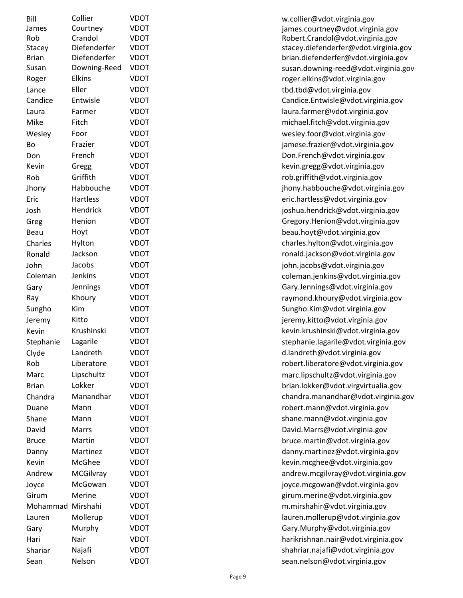| Bill         | Collier         | VDOT        |
|--------------|-----------------|-------------|
| James        | Courtney        | VDOT        |
| Rob          | Crandol         | VDOT        |
| Stacey       | Diefenderfer    | <b>VDOT</b> |
| <b>Brian</b> | Diefenderfer    | VDOT        |
| Susan        | Downing-Reed    | VDOT        |
| Roger        | <b>Elkins</b>   | VDOT        |
| Lance        | Eller           | <b>VDOT</b> |
| Candice      | Entwisle        | VDOT        |
| Laura        | Farmer          | <b>VDOT</b> |
| Mike         | Fitch           | VDOT        |
| Wesley       | Foor            | <b>VDOT</b> |
| Bo           | Frazier         | <b>VDOT</b> |
| Don          | French          | <b>VDOT</b> |
| Kevin        | Gregg           | <b>VDOT</b> |
| Rob          | Griffith        | <b>VDOT</b> |
| Jhony        | Habbouche       | <b>VDOT</b> |
| Eric         | <b>Hartless</b> | <b>VDOT</b> |
| Josh         | Hendrick        | VDOT        |
| Greg         | Henion          | <b>VDOT</b> |
| Beau         | Hoyt            | <b>VDOT</b> |
| Charles      | Hylton          | <b>VDOT</b> |
| Ronald       | Jackson         | <b>VDOT</b> |
| John         | Jacobs          | <b>VDOT</b> |
| Coleman      | <b>Jenkins</b>  | <b>VDOT</b> |
| Gary         | Jennings        | <b>VDOT</b> |
| Ray          | Khoury          | <b>VDOT</b> |
| Sungho       | Kim             | VDOT        |
| Jeremy       | Kitto           | <b>VDOT</b> |
| Kevin        | Krushinski      | <b>VDOT</b> |
| Stephanie    | Lagarile        | <b>VDOT</b> |
| Clyde        | Landreth        | <b>VDOT</b> |
| Rob          | Liberatore      | VDOT        |
| Marc         | Lipschultz      | VDOT        |
| <b>Brian</b> | Lokker          | VDOT        |
| Chandra      | Manandhar       | VDOT        |
|              | Mann            | <b>VDOT</b> |
| Duane        | Mann            | VDOT        |
| Shane        |                 | VDOT        |
| David        | Marrs           |             |
| <b>Bruce</b> | Martin          | VDOT        |
| Danny        | Martinez        | VDOT        |
| Kevin        | McGhee          | <b>VDOT</b> |
| Andrew       | MCGilvray       | VDOT        |
| Joyce        | McGowan         | <b>VDOT</b> |
| Girum        | Merine          | VDOT        |
| Mohammad     | Mirshahi        | VDOT        |
| Lauren       | Mollerup        | VDOT        |
| Gary         | Murphy          | <b>VDOT</b> |
| Hari         | Nair            | <b>VDOT</b> |
| Shariar      | Najafi          | VDOT        |
| Saan,        | <b>Nelcon</b>   | <b>VDOT</b> |

w.collier@vdot.virginia.gov james.courtney@vdot.virginia.gov Robert.Crandol@vdot.virginia.gov stacey.diefenderfer@vdot.virginia.gov brian.diefenderfer@vdot.virginia.gov susan.downing-reed@vdot.virginia.gov roger.elkins@vdot.virginia.gov tbd.tbd@vdot.virginia.gov Candice.Entwisle@vdot.virginia.gov laura.farmer@vdot.virginia.gov michael.fitch@vdot.virginia.gov wesley.foor@vdot.virginia.gov jamese.frazier@vdot.virginia.gov Don.French@vdot.virginia.gov kevin.gregg@vdot.virginia.gov rob.griffith@vdot.virginia.gov jhony.habbouche@vdot.virginia.gov eric.hartless@vdot.virginia.gov joshua.hendrick@vdot.virginia.gov Gregory.Henion@vdot.virginia.gov beau.hoyt@vdot.virginia.gov charles.hylton@vdot.virginia.gov ronald jackson@vdot.virginia.gov john.jacobs@vdot.virginia.gov coleman.jenkins@vdot.virginia.gov Gary.Jennings@vdot.virginia.gov ray mond.khoury @vdot.virginia.gov Sungho.Kim@vdot.virginia.gov jeremy.kitto@vdot.virginia.gov kevin.krushinski@vdot.virginia.gov stephanie.lagarile@vdot.virginia.gov d.landreth@vdot.virginia.gov robert.liberatore@vdot.virginia.gov marc.lipschultz@vdot.virginia.gov brian.lokker@vdot.virgvirtualia.gov chandra.manandhar@vdot.virginia.gov robert.mann@vdot.virginia.gov shane.mann@vdot.virginia.gov David.Marrs@vdot.virginia.gov bruce.martin@vdot.virginia.gov danny.martinez@vdot.virginia.gov kevin.mcghee@vdot.virginia.gov andrew.mcgilvray@vdot.virginia.gov joyce.mcgowan@vdot.virginia.gov girum.merine@vdot.virginia.gov m.mirshahir@vdot.virginia.gov lauren.mollerup@vdot.virginia.gov Gary.Murphy@vdot.virginia.gov hari krishnan.nair@vdot.virginia.gov shahriar.najafi@vdot.virginia.gov Sean Nelson VDOT sean.nelson@vdot.virginia.gov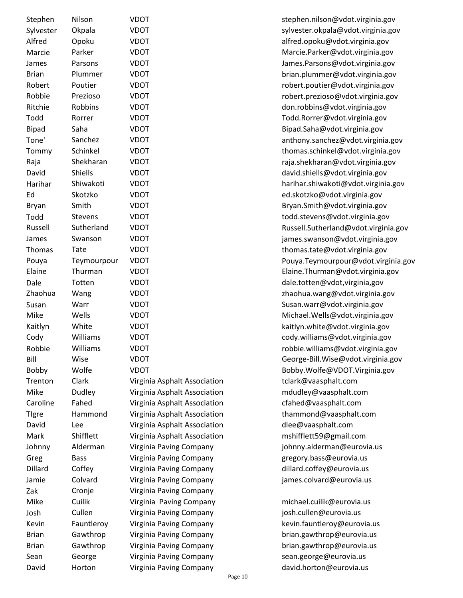| Stephen         | Nilson         | VDOT                         | stephen.nilson@vdot.virg   |
|-----------------|----------------|------------------------------|----------------------------|
| Sylvester       | Okpala         | <b>VDOT</b>                  | sylvester.okpala@vdot.vii  |
| Alfred          | Opoku          | <b>VDOT</b>                  | alfred.opoku@vdot.virgin   |
| Marcie          | Parker         | <b>VDOT</b>                  | Marcie.Parker@vdot.virgi   |
| James           | Parsons        | <b>VDOT</b>                  | James.Parsons@vdot.virg    |
| <b>Brian</b>    | Plummer        | <b>VDOT</b>                  | brian.plummer@vdot.virg    |
| Robert          | Poutier        | <b>VDOT</b>                  | robert.poutier@vdot.virg   |
| Robbie          | Prezioso       | <b>VDOT</b>                  | robert.prezioso@vdot.vir   |
| Ritchie         | Robbins        | <b>VDOT</b>                  | don.robbins@vdot.virgini   |
| Todd            | Rorrer         | <b>VDOT</b>                  | Todd.Rorrer@vdot.virgini   |
| <b>Bipad</b>    | Saha           | <b>VDOT</b>                  | Bipad.Saha@vdot.virginia   |
| Tone'           | Sanchez        | <b>VDOT</b>                  | anthony.sanchez@vdot.vi    |
| Tommy           | Schinkel       | <b>VDOT</b>                  | thomas.schinkel@vdot.vi    |
| Raja            | Shekharan      | <b>VDOT</b>                  | raja.shekharan@vdot.virg   |
| David           | Shiells        | <b>VDOT</b>                  | david.shiells@vdot.virgini |
| Harihar         | Shiwakoti      | <b>VDOT</b>                  | harihar.shiwakoti@vdot.v   |
| Ed              | Skotzko        | <b>VDOT</b>                  | ed.skotzko@vdot.virginia.  |
| <b>Bryan</b>    | Smith          | <b>VDOT</b>                  | Bryan.Smith@vdot.virgini   |
| Todd            | <b>Stevens</b> | <b>VDOT</b>                  | todd.stevens@vdot.virgin   |
| Russell         | Sutherland     | <b>VDOT</b>                  | Russell.Sutherland@vdot.   |
| James           | Swanson        | <b>VDOT</b>                  | james.swanson@vdot.virg    |
| Thomas          | Tate           | <b>VDOT</b>                  | thomas.tate@vdot.virgini   |
|                 |                | <b>VDOT</b>                  |                            |
| Pouya<br>Elaine | Teymourpour    |                              | Pouya.Teymourpour@vdo      |
|                 | Thurman        | <b>VDOT</b>                  | Elaine.Thurman@vdot.vir    |
| Dale            | Totten         | <b>VDOT</b>                  | dale.totten@vdot,virginia  |
| Zhaohua         | Wang           | <b>VDOT</b>                  | zhaohua.wang@vdot.virg     |
| Susan           | Warr           | <b>VDOT</b>                  | Susan.warr@vdot.virginia   |
| Mike            | Wells          | <b>VDOT</b>                  | Michael.Wells@vdot.virgi   |
| Kaitlyn         | White          | <b>VDOT</b>                  | kaitlyn.white@vdot.virgin  |
| Cody            | Williams       | <b>VDOT</b>                  | cody.williams@vdot.virgir  |
| Robbie          | Williams       | <b>VDOT</b>                  | robbie.williams@vdot.virg  |
| Bill            | Wise           | <b>VDOT</b>                  | George-Bill.Wise@vdot.vi   |
| Bobby           | Wolfe          | <b>VDOT</b>                  | Bobby.Wolfe@VDOT.Virg      |
| Trenton         | Clark          | Virginia Asphalt Association | tclark@vaasphalt.com       |
| Mike            | Dudley         | Virginia Asphalt Association | mdudley@vaasphalt.com      |
| Caroline        | Fahed          | Virginia Asphalt Association | cfahed@vaasphalt.com       |
| <b>Tigre</b>    | Hammond        | Virginia Asphalt Association | thammond@vaasphalt.co      |
| David           | Lee            | Virginia Asphalt Association | dlee@vaasphalt.com         |
| Mark            | Shifflett      | Virginia Asphalt Association | mshifflett59@gmail.com     |
| Johnny          | Alderman       | Virginia Paving Company      | johnny.alderman@eurovi     |
| Greg            | <b>Bass</b>    | Virginia Paving Company      | gregory.bass@eurovia.us    |
| Dillard         | Coffey         | Virginia Paving Company      | dillard.coffey@eurovia.us  |
| Jamie           | Colvard        | Virginia Paving Company      | james.colvard@eurovia.u    |
| Zak             | Cronje         | Virginia Paving Company      |                            |
| Mike            | Cuilik         | Virginia Paving Company      | michael.cuilik@eurovia.us  |
| Josh            | Cullen         | Virginia Paving Company      | josh.cullen@eurovia.us     |
| Kevin           | Fauntleroy     | Virginia Paving Company      | kevin.fauntleroy@eurovia   |
| <b>Brian</b>    | Gawthrop       | Virginia Paving Company      | brian.gawthrop@eurovia.    |
| <b>Brian</b>    | Gawthrop       | Virginia Paving Company      | brian.gawthrop@eurovia.    |
| Sean            | George         | Virginia Paving Company      | sean.george@eurovia.us     |
| David           | Horton         | Virginia Paving Company      | david.horton@eurovia.us    |
|                 |                |                              |                            |

stephen.nilson@vdot.virginia.gov sylvester.okpala@vdot.virginia.gov alfred.opoku@vdot.virginia.gov Marcie.Parker@vdot.virginia.gov James.Parsons@vdot.virginia.gov brian.plummer@vdot.virginia.gov robert.poutier@vdot.virginia.gov robert.prezioso@vdot.virginia.gov don.robbins@vdot.virginia.gov Todd.Rorrer@vdot.virginia.gov Bipad.Saha@vdot.virginia.gov anthony.sanchez@vdot.virginia.gov thomas.schinkel@vdot.virginia.gov raja.shekharan@vdot.virginia.gov david.shiells@vdot.virginia.gov harihar.shiwakoti@vdot.virginia.gov ed.skotzko@vdot.virginia.gov Bryan.Smith@vdot.virginia.gov todd.stevens@vdot.virginia.gov Russell.Sutherland@vdot.virginia.gov james.swanson@vdot.virginia.gov thomas.tate@vdot.virginia.gov Pouya.Teymourpour@vdot.virginia.gov Elaine.Thurman@vdot.virginia.gov dale.totten@vdot,virginia,gov zhaohua.wang@vdot.virginia.gov Susan.warr@vdot.virginia.gov Michael. Wells@vdot.virginia.gov kaitlyn.white@vdot.virginia.gov cody.williams@vdot.virginia.gov robbie.williams@vdot.virginia.gov George-Bill.Wise@vdot.virginia.gov Bobby.Wolfe@VDOT.Virginia.gov Association **Tranton Clark@vaasphalt.com** Association mdudley@vaasphalt.com Association **Fahed@vaasphalt.com** Association thammond@vaasphalt.com Association dlee@vaasphalt.com Association mshifflett59@gmail.com ompany and iohnny.alderman@eurovia.us ompany eregory.bass@eurovia.us ompany dillard.coffey@eurovia.us ompany james.colvard@eurovia.us

Company michael.cuilik@eurovia.us ompany iosh.cullen@eurovia.us ompany kevin fauntleroy@eurovia.us ompany brian gawthrop@eurovia.us  $\delta$ ompany brian gawthrop@eurovia.us ompany sean.george@eurovia.us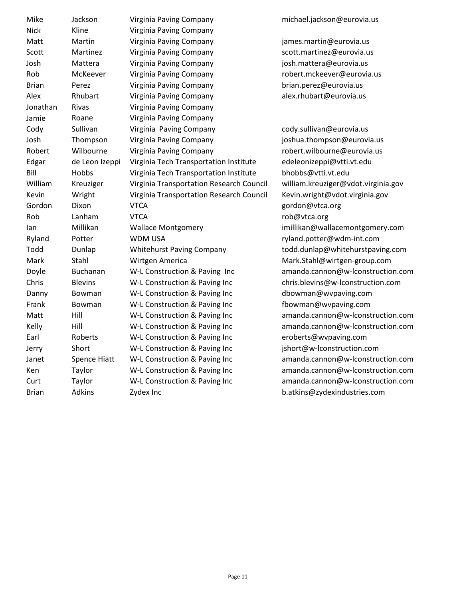| Mike         | Jackson             | Virginia Paving Company                  |
|--------------|---------------------|------------------------------------------|
| <b>Nick</b>  | Kline               | Virginia Paving Company                  |
| Matt         | Martin              | Virginia Paving Company                  |
| Scott        | Martinez            | Virginia Paving Company                  |
| Josh         | Mattera             | Virginia Paving Company                  |
| Rob          | McKeever            | Virginia Paving Company                  |
| <b>Brian</b> | Perez               | Virginia Paving Company                  |
| Alex         | Rhubart             | Virginia Paving Company                  |
| Jonathan     | Rivas               | Virginia Paving Company                  |
| Jamie        | Roane               | Virginia Paving Company                  |
| Cody         | Sullivan            | Virginia Paving Company                  |
| Josh         | Thompson            | Virginia Paving Company                  |
| Robert       | Wilbourne           | Virginia Paving Company                  |
| Edgar        | de Leon Izeppi      | Virginia Tech Transportation Institute   |
| Bill         | Hobbs               | Virginia Tech Transportation Institute   |
| William      | Kreuziger           | Virginia Transportation Research Council |
| Kevin        | Wright              | Virginia Transportation Research Council |
| Gordon       | Dixon               | VTCA                                     |
| Rob          | Lanham              | <b>VTCA</b>                              |
| lan          | Millikan            | <b>Wallace Montgomery</b>                |
| Ryland       | Potter              | WDM USA                                  |
| Todd         | Dunlap              | <b>Whitehurst Paving Company</b>         |
| Mark         | Stahl               | Wirtgen America                          |
| Doyle        | <b>Buchanan</b>     | W-L Construction & Paving Inc            |
| Chris        | <b>Blevins</b>      | W-L Construction & Paving Inc            |
| Danny        | Bowman              | W-L Construction & Paving Inc            |
| Frank        | Bowman              | W-L Construction & Paving Inc            |
| Matt         | Hill                | W-L Construction & Paving Inc            |
| Kelly        | Hill                | W-L Construction & Paving Inc            |
| Earl         | Roberts             | W-L Construction & Paving Inc            |
| Jerry        | Short               | W-L Construction & Paving Inc            |
| Janet        | <b>Spence Hiatt</b> | W-L Construction & Paving Inc            |
| Ken          | Taylor              | W-L Construction & Paving Inc            |
| Curt         | Taylor              | W-L Construction & Paving Inc            |
| Brian        | Adkins              | Zydex Inc                                |

michael.jackson@eurovia.us

james.martin@eurovia.us scott.martinez@eurovia.us josh.mattera@eurovia.us robert.mckeever@eurovia.us brian.perez@eurovia.us alex.rhubart@eurovia.us

cody.sullivan@eurovia.us joshua.thompson@eurovia.us robert.wilbourne@eurovia.us edeleonizeppi@vtti.vt.edu bhobbs@vtti.vt.edu william.kreuziger@vdot.virginia.gov Kevin.wright@vdot.virginia.gov gordon@vtca.org rob@vtca.org imillikan@wallacemontgomery.com ryland.potter@wdm-int.com todd.dunlap@whitehurstpaving.com Mark.Stahl@wirtgen-group.com amanda.cannon@w-lconstruction.com chris.blevins@w-lconstruction.com dbowman@wvpaving.com fbowman@wvpaving.com amanda.cannon@w-lconstruction.com amanda.cannon@w-lconstruction.com eroberts@wvpaving.com jshort@w-lconstruction.com amanda.cannon@w-lconstruction.com amanda.cannon@w-lconstruction.com amanda.cannon@w-lconstruction.com b.atkins@zydexindustries.com